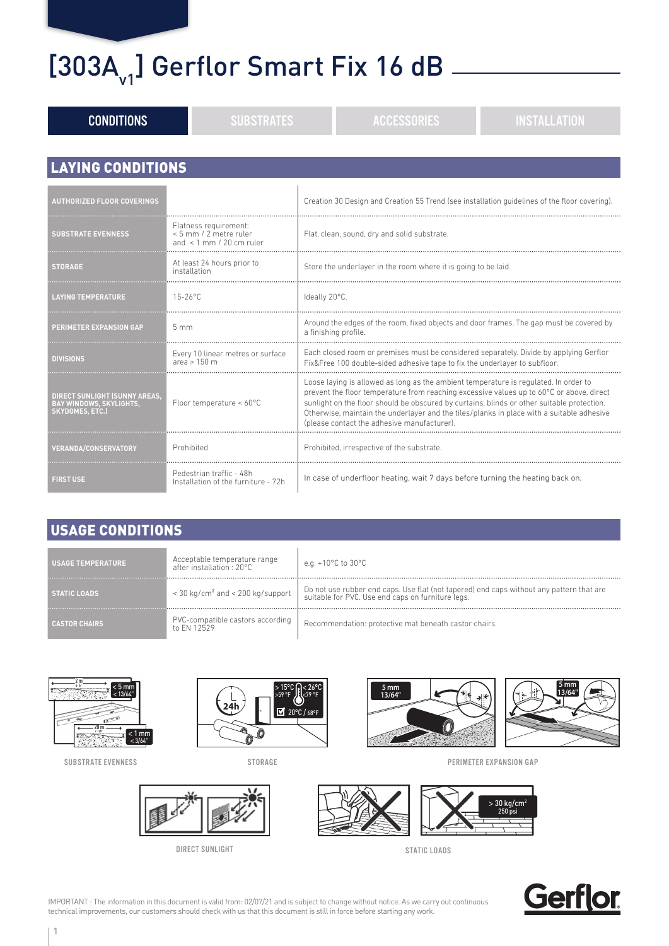## $[303A<sub>v1</sub>]$  Gerflor Smart Fix 16 dB  $-$

| <b>CONDITIONS</b>                                                                                | <b>SUBSTRATES</b>                                                              |  | <b>ACCESSORIES</b>                                                                                                                                                                                                                                                                                                                                                                                                        | <b>INSTALLATION</b> |  |  |  |
|--------------------------------------------------------------------------------------------------|--------------------------------------------------------------------------------|--|---------------------------------------------------------------------------------------------------------------------------------------------------------------------------------------------------------------------------------------------------------------------------------------------------------------------------------------------------------------------------------------------------------------------------|---------------------|--|--|--|
|                                                                                                  |                                                                                |  |                                                                                                                                                                                                                                                                                                                                                                                                                           |                     |  |  |  |
| <b>LAYING CONDITIONS</b>                                                                         |                                                                                |  |                                                                                                                                                                                                                                                                                                                                                                                                                           |                     |  |  |  |
| <b>AUTHORIZED FLOOR COVERINGS</b>                                                                |                                                                                |  | Creation 30 Design and Creation 55 Trend (see installation quidelines of the floor covering).                                                                                                                                                                                                                                                                                                                             |                     |  |  |  |
| <b>SUBSTRATE EVENNESS</b>                                                                        | Flatness requirement:<br>< 5 mm / 2 metre ruler<br>and $\,$ 1 mm / 20 cm ruler |  | Flat, clean, sound, dry and solid substrate.                                                                                                                                                                                                                                                                                                                                                                              |                     |  |  |  |
| <b>STORAGE</b>                                                                                   | At least 24 hours prior to<br>installation                                     |  | Store the underlayer in the room where it is going to be laid.                                                                                                                                                                                                                                                                                                                                                            |                     |  |  |  |
| <b>LAYING TEMPERATURE</b>                                                                        | $15 - 26$ °C                                                                   |  | Ideally 20°C.                                                                                                                                                                                                                                                                                                                                                                                                             |                     |  |  |  |
| PERIMETER EXPANSION GAP                                                                          | 5mm                                                                            |  | Around the edges of the room, fixed objects and door frames. The gap must be covered by<br>a finishing profile                                                                                                                                                                                                                                                                                                            |                     |  |  |  |
| <b>DIVISIONS</b>                                                                                 | Every 10 linear metres or surface<br>area $> 150$ m                            |  | Each closed room or premises must be considered separately. Divide by applying Gerflor<br>Fix&Free 100 double-sided adhesive tape to fix the underlayer to subfloor.                                                                                                                                                                                                                                                      |                     |  |  |  |
| <b>DIRECT SUNLIGHT (SUNNY AREAS,</b><br><b>BAY WINDOWS, SKYLIGHTS,</b><br><b>SKYDOMES, ETC.)</b> | Floor temperature < 60°C                                                       |  | Loose laying is allowed as long as the ambient temperature is regulated. In order to<br>prevent the floor temperature from reaching excessive values up to 60°C or above, direct<br>sunlight on the floor should be obscured by curtains, blinds or other suitable protection.<br>Otherwise, maintain the underlayer and the tiles/planks in place with a suitable adhesive<br>(please contact the adhesive manufacturer) |                     |  |  |  |
| <b>VERANDA/CONSERVATORY</b>                                                                      | Prohibited                                                                     |  | Prohibited, irrespective of the substrate.                                                                                                                                                                                                                                                                                                                                                                                |                     |  |  |  |
| <b>FIRST USE</b>                                                                                 | Pedestrian traffic - 48h<br>Installation of the furniture - 72h                |  | In case of underfloor heating, wait 7 days before turning the heating back on.                                                                                                                                                                                                                                                                                                                                            |                     |  |  |  |

#### USAGE CONDITIONS

| <b>USAGE TEMPERATURE</b> | Acceptable temperature range<br>after installation $\cdot$ 20°C. | e.g. +10°C to 30°C                                                                                                                            |
|--------------------------|------------------------------------------------------------------|-----------------------------------------------------------------------------------------------------------------------------------------------|
| <b>STATIC LOADS</b>      | < 30 kg/cm <sup>2</sup> and < 200 kg/support                     | Do not use rubber end caps. Use flat (not tapered) end caps without any pattern that are<br>suitable for PVC. Use end caps on furniture legs. |
| <b>CASTOR CHAIRS</b>     | PVC-compatible castors according<br>to FN 12529                  | Recommendation: protective mat beneath castor chairs.                                                                                         |



SUBSTRATE EVENNESS



STORAGE





PERIMETER EXPANSION GAP





IMPORTANT : The information in this document is valid from: 02/07/21 and is subject to change without notice. As we carry out continuous technical improvements, our customers should check with us that this document is still in force before starting any work.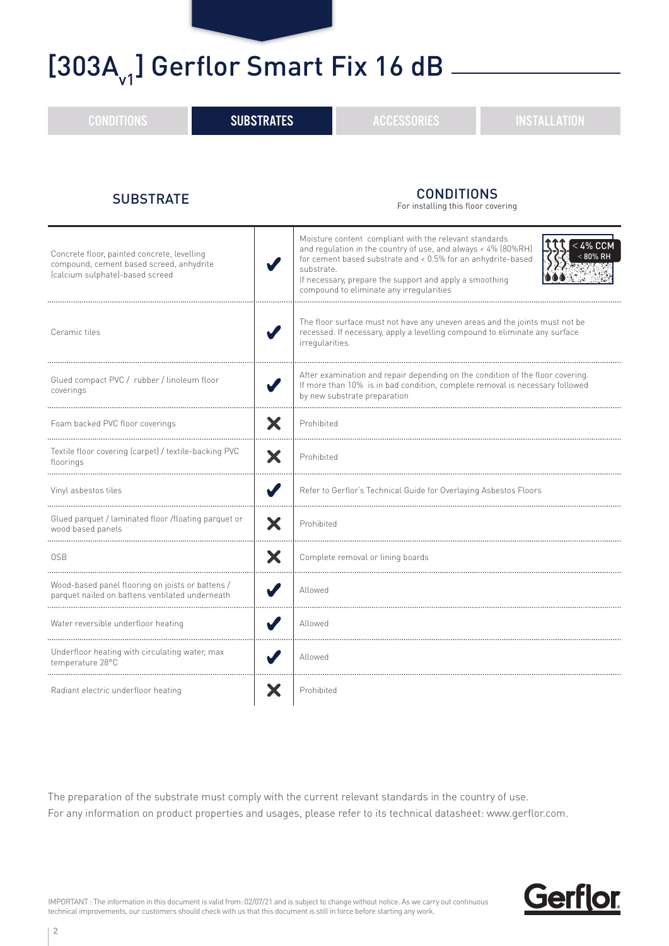### [303A<sub>v1</sub>] Gerflor Smart Fix 16 dB

CONDITIONS **External SUBSTRATES External SUBSTRATES** ACCESSORIES **External installation** SUBSTRATE CONDITIONS For installing this floor covering Moisture content compliant with the relevant standards  $<$  4% CCM and regulation in the country of use, and always < 4% (80%RH) Concrete floor, painted concrete, levelling 80% RH < for cement based substrate and < 0.5% for an anhydrite-based compound, cement based screed, anhydrite substrate. (calcium sulphate)-based screed If necessary, prepare the support and apply a smoothing compound to eliminate any irregularities The floor surface must not have any uneven areas and the joints must not be Ceramic tiles recessed. If necessary, apply a levelling compound to eliminate any surface irregularities. After examination and repair depending on the condition of the floor covering. Glued compact PVC / rubber / linoleum floor If more than 10% is in bad condition, complete removal is necessary followed coverings by new substrate preparation Foam backed PVC floor coverings Prohibited Textile floor covering (carpet) / textile-backing PVC  $\parallel \mathbf{\mathsf{X}} \parallel$  Prohibited Vinyl asbestos tiles Refer to Gerflor's Technical Guide for Overlaying Asbestos Floors Glued parquet / laminated floor /floating parquet or  $\parallel \mathbf{x} \parallel$  Prohibited OSB Complete removal or lining boards Wood-based panel flooring on joists or battens / vvood-based panet flooring on joists or battens / Vallowed<br>parquet nailed on battens ventilated underneath Vallowed

The preparation of the substrate must comply with the current relevant standards in the country of use. For any information on product properties and usages, please refer to its technical datasheet: www.gerflor.com.

. . . . . . . . . . . . . . . .

IMPORTANT : The information in this document is valid from: 02/07/21 and is subject to change without notice. As we carry out continuous technical improvements, our customers should check with us that this document is still in force before starting any work.

Water reversible underfloor heating  $\blacksquare$  Allowed

Underfloor heating with circulating water, max **Allowed State Lines and State Proper** Allowed

Radiant electric underfloor heating **Prohibited** Prohibited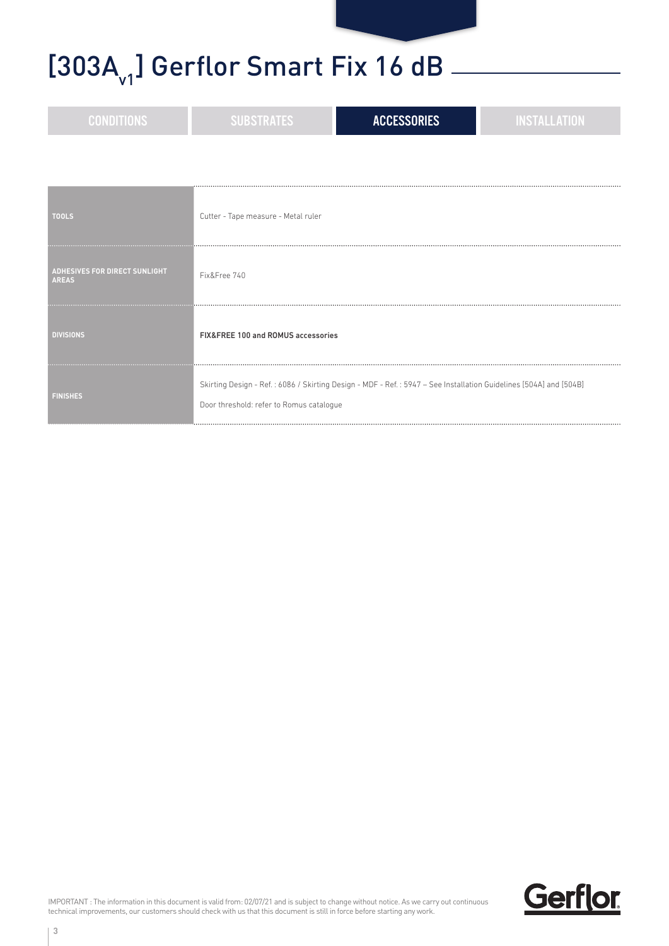# [303A $_{\rm v1}$ ] Gerflor Smart Fix 16 dB  $-$

| <b>CONDITIONS</b>                                    | <b>SUBSTRATES</b>                        | <b>ACCESSORIES</b>                                                                                                | <b>INSTALLATION</b> |
|------------------------------------------------------|------------------------------------------|-------------------------------------------------------------------------------------------------------------------|---------------------|
|                                                      |                                          |                                                                                                                   |                     |
| <b>TOOLS</b>                                         | Cutter - Tape measure - Metal ruler      |                                                                                                                   |                     |
| <b>ADHESIVES FOR DIRECT SUNLIGHT</b><br><b>AREAS</b> | Fix&Free 740                             |                                                                                                                   |                     |
| <b>DIVISIONS</b>                                     | FIX&FREE 100 and ROMUS accessories       |                                                                                                                   |                     |
| <b>FINISHES</b>                                      | Door threshold: refer to Romus catalogue | Skirting Design - Ref.: 6086 / Skirting Design - MDF - Ref.: 5947 - See Installation Guidelines [504A] and [504B] |                     |